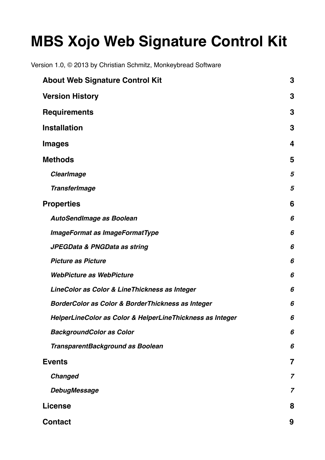# **MBS Xojo Web Signature Control Kit**

Version 1.0, © 2013 by Christian Schmitz, Monkeybread Software

| <b>About Web Signature Control Kit</b>                    | 3 |
|-----------------------------------------------------------|---|
| <b>Version History</b>                                    | 3 |
| <b>Requirements</b>                                       | 3 |
| <b>Installation</b>                                       | 3 |
| <b>Images</b>                                             | 4 |
| <b>Methods</b>                                            | 5 |
| <b>ClearImage</b>                                         | 5 |
| <b>TransferImage</b>                                      | 5 |
| <b>Properties</b>                                         | 6 |
| <b>AutoSendImage as Boolean</b>                           | 6 |
| <b>ImageFormat as ImageFormatType</b>                     | 6 |
| JPEGData & PNGData as string                              | 6 |
| <b>Picture as Picture</b>                                 | 6 |
| <b>WebPicture as WebPicture</b>                           | 6 |
| LineColor as Color & LineThickness as Integer             | 6 |
| BorderColor as Color & BorderThickness as Integer         | 6 |
| HelperLineColor as Color & HelperLineThickness as Integer | 6 |
| <b>BackgroundColor as Color</b>                           | 6 |
| TransparentBackground as Boolean                          | 6 |
| <b>Events</b>                                             | 7 |
| <b>Changed</b>                                            | 7 |
| <b>DebugMessage</b>                                       | 7 |
| <b>License</b>                                            | 8 |
| <b>Contact</b>                                            | 9 |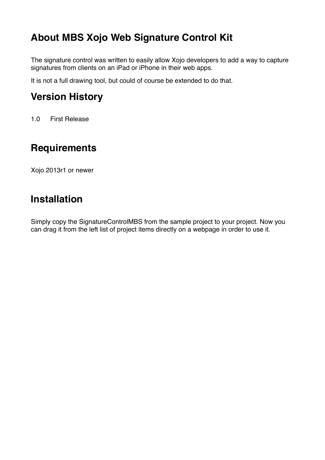### <span id="page-2-0"></span>**About MBS Xojo Web Signature Control Kit**

The signature control was written to easily allow Xojo developers to add a way to capture signatures from clients on an iPad or iPhone in their web apps.

It is not a full drawing tool, but could of course be extended to do that.

### <span id="page-2-1"></span>**Version History**

1.0 First Release

## <span id="page-2-2"></span>**Requirements**

Xojo 2013r1 or newer

### <span id="page-2-3"></span>**Installation**

Simply copy the SignatureControlMBS from the sample project to your project. Now you can drag it from the left list of project items directly on a webpage in order to use it.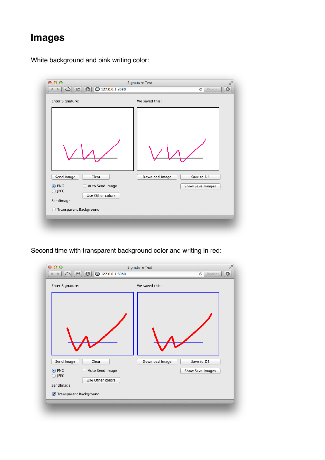# <span id="page-3-0"></span>**Images**

White background and pink writing color:

| Enter Signature:                                                                                               | We saved this:                                   |  |
|----------------------------------------------------------------------------------------------------------------|--------------------------------------------------|--|
| Clear<br>Send Image<br>Auto Send Image<br>$\odot$ PNG<br>Ω<br>$\bigcirc$ JPEG<br>Use Other colors<br>SendImage | Download Image<br>Save to DB<br>Show Save Images |  |
| Transparent Background                                                                                         |                                                  |  |

Second time with transparent background color and writing in red:

| Enter Signature:                                                                   | We saved this: |                  |  |
|------------------------------------------------------------------------------------|----------------|------------------|--|
|                                                                                    |                |                  |  |
| Send Image<br>Clear                                                                | Download Image | Save to DB       |  |
| Auto Send Image<br>$\odot$ PNG<br>$\bigcirc$ JPEG<br>Use Other colors<br>SendImage |                | Show Save Images |  |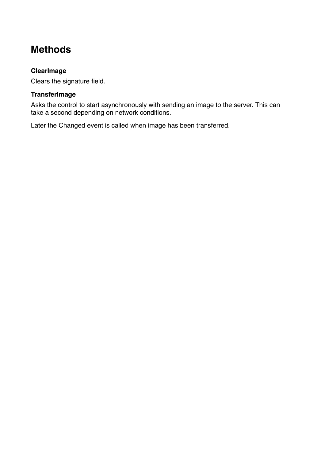### <span id="page-4-0"></span>**Methods**

#### <span id="page-4-1"></span>**ClearImage**

Clears the signature field.

#### <span id="page-4-2"></span>**TransferImage**

Asks the control to start asynchronously with sending an image to the server. This can take a second depending on network conditions.

Later the Changed event is called when image has been transferred.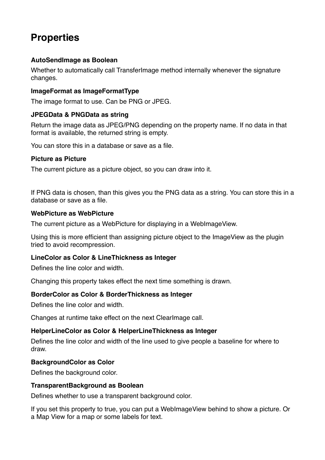### <span id="page-5-0"></span>**Properties**

#### <span id="page-5-1"></span>**AutoSendImage as Boolean**

Whether to automatically call Transferimage method internally whenever the signature changes.

#### <span id="page-5-2"></span>**ImageFormat as ImageFormatType**

The image format to use. Can be PNG or JPEG.

#### <span id="page-5-3"></span>**JPEGData & PNGData as string**

Return the image data as JPEG/PNG depending on the property name. If no data in that format is available, the returned string is empty.

You can store this in a database or save as a file.

#### <span id="page-5-4"></span>**Picture as Picture**

The current picture as a picture object, so you can draw into it.

If PNG data is chosen, than this gives you the PNG data as a string. You can store this in a database or save as a file.

#### <span id="page-5-5"></span>**WebPicture as WebPicture**

The current picture as a WebPicture for displaying in a WebImageView.

Using this is more efficient than assigning picture object to the ImageView as the plugin tried to avoid recompression.

#### <span id="page-5-6"></span>**LineColor as Color & LineThickness as Integer**

Defines the line color and width.

Changing this property takes effect the next time something is drawn.

#### <span id="page-5-7"></span>**BorderColor as Color & BorderThickness as Integer**

Defines the line color and width.

Changes at runtime take effect on the next ClearImage call.

#### <span id="page-5-8"></span>**HelperLineColor as Color & HelperLineThickness as Integer**

Defines the line color and width of the line used to give people a baseline for where to draw.

#### <span id="page-5-9"></span>**BackgroundColor as Color**

Defines the background color.

#### <span id="page-5-10"></span>**TransparentBackground as Boolean**

Defines whether to use a transparent background color.

If you set this property to true, you can put a WebImageView behind to show a picture. Or a Map View for a map or some labels for text.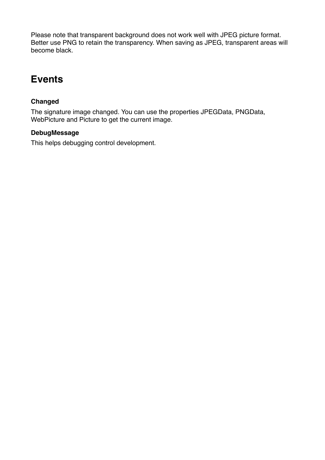Please note that transparent background does not work well with JPEG picture format. Better use PNG to retain the transparency. When saving as JPEG, transparent areas will become black.

### <span id="page-6-0"></span>**Events**

#### <span id="page-6-1"></span>**Changed**

The signature image changed. You can use the properties JPEGData, PNGData, WebPicture and Picture to get the current image.

#### <span id="page-6-2"></span>**DebugMessage**

This helps debugging control development.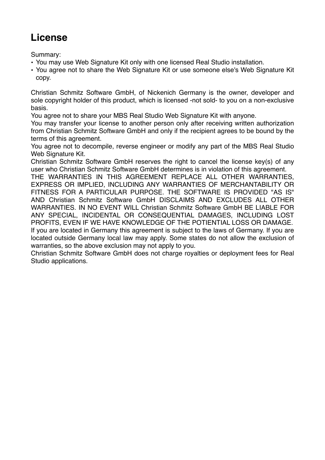### <span id="page-7-0"></span>**License**

Summary:

- You may use Web Signature Kit only with one licensed Real Studio installation.
- You agree not to share the Web Signature Kit or use someone else's Web Signature Kit copy.

Christian Schmitz Software GmbH, of Nickenich Germany is the owner, developer and sole copyright holder of this product, which is licensed -not sold- to you on a non-exclusive basis.

You agree not to share your MBS Real Studio Web Signature Kit with anyone.

You may transfer your license to another person only after receiving written authorization from Christian Schmitz Software GmbH and only if the recipient agrees to be bound by the terms of this agreement.

You agree not to decompile, reverse engineer or modify any part of the MBS Real Studio Web Signature Kit.

Christian Schmitz Software GmbH reserves the right to cancel the license key(s) of any user who Christian Schmitz Software GmbH determines is in violation of this agreement.

THE WARRANTIES IN THIS AGREEMENT REPLACE ALL OTHER WARRANTIES, EXPRESS OR IMPLIED, INCLUDING ANY WARRANTIES OF MERCHANTABILITY OR FITNESS FOR A PARTICULAR PURPOSE. THE SOFTWARE IS PROVIDED "AS IS" AND Christian Schmitz Software GmbH DISCLAIMS AND EXCLUDES ALL OTHER WARRANTIES. IN NO EVENT WILL Christian Schmitz Software GmbH BE LIABLE FOR ANY SPECIAL, INCIDENTAL OR CONSEQUENTIAL DAMAGES, INCLUDING LOST PROFITS, EVEN IF WE HAVE KNOWLEDGE OF THE POTIENTIAL LOSS OR DAMAGE. If you are located in Germany this agreement is subject to the laws of Germany. If you are located outside Germany local law may apply. Some states do not allow the exclusion of warranties, so the above exclusion may not apply to you.

Christian Schmitz Software GmbH does not charge royalties or deployment fees for Real Studio applications.